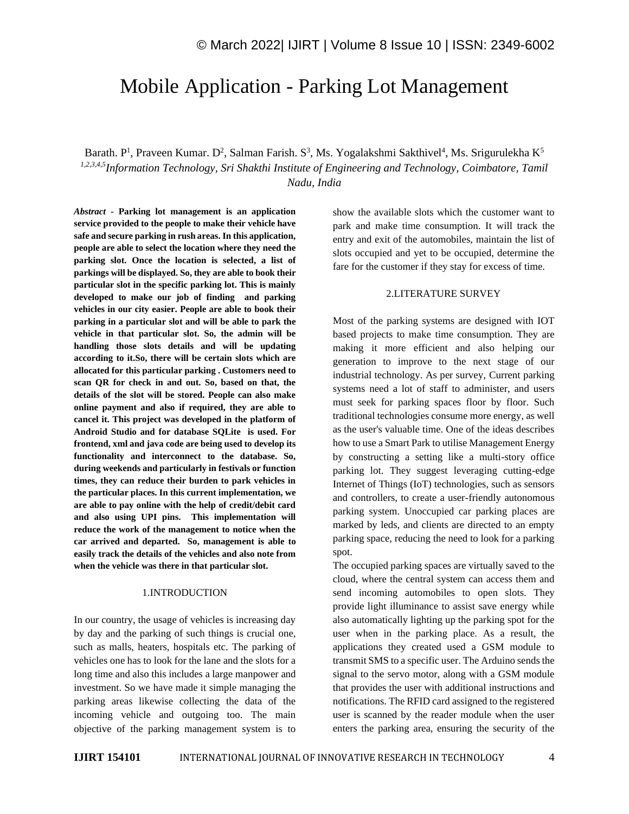# Mobile Application - Parking Lot Management

Barath. P<sup>1</sup>, Praveen Kumar. D<sup>2</sup>, Salman Farish. S<sup>3</sup>, Ms. Yogalakshmi Sakthivel<sup>4</sup>, Ms. Srigurulekha K<sup>5</sup> *1,2,3,4,5Information Technology, Sri Shakthi Institute of Engineering and Technology, Coimbatore, Tamil Nadu, India*

*Abstract -* **Parking lot management is an application service provided to the people to make their vehicle have safe and secure parking in rush areas. In this application, people are able to select the location where they need the parking slot. Once the location is selected, a list of parkings will be displayed. So, they are able to book their particular slot in the specific parking lot. This is mainly developed to make our job of finding and parking vehicles in our city easier. People are able to book their parking in a particular slot and will be able to park the vehicle in that particular slot. So, the admin will be handling those slots details and will be updating according to it.So, there will be certain slots which are allocated for this particular parking . Customers need to scan QR for check in and out. So, based on that, the details of the slot will be stored. People can also make online payment and also if required, they are able to cancel it. This project was developed in the platform of Android Studio and for database SQLite is used. For frontend, xml and java code are being used to develop its functionality and interconnect to the database. So, during weekends and particularly in festivals or function times, they can reduce their burden to park vehicles in the particular places. In this current implementation, we are able to pay online with the help of credit/debit card and also using UPI pins. This implementation will reduce the work of the management to notice when the car arrived and departed. So, management is able to easily track the details of the vehicles and also note from when the vehicle was there in that particular slot.**

### 1.INTRODUCTION

In our country, the usage of vehicles is increasing day by day and the parking of such things is crucial one, such as malls, heaters, hospitals etc. The parking of vehicles one has to look for the lane and the slots for a long time and also this includes a large manpower and investment. So we have made it simple managing the parking areas likewise collecting the data of the incoming vehicle and outgoing too. The main objective of the parking management system is to show the available slots which the customer want to park and make time consumption. It will track the entry and exit of the automobiles, maintain the list of slots occupied and yet to be occupied, determine the fare for the customer if they stay for excess of time.

#### 2.LITERATURE SURVEY

Most of the parking systems are designed with IOT based projects to make time consumption. They are making it more efficient and also helping our generation to improve to the next stage of our industrial technology. As per survey, Current parking systems need a lot of staff to administer, and users must seek for parking spaces floor by floor. Such traditional technologies consume more energy, as well as the user's valuable time. One of the ideas describes how to use a Smart Park to utilise Management Energy by constructing a setting like a multi-story office parking lot. They suggest leveraging cutting-edge Internet of Things (IoT) technologies, such as sensors and controllers, to create a user-friendly autonomous parking system. Unoccupied car parking places are marked by leds, and clients are directed to an empty parking space, reducing the need to look for a parking spot.

The occupied parking spaces are virtually saved to the cloud, where the central system can access them and send incoming automobiles to open slots. They provide light illuminance to assist save energy while also automatically lighting up the parking spot for the user when in the parking place. As a result, the applications they created used a GSM module to transmit SMS to a specific user. The Arduino sends the signal to the servo motor, along with a GSM module that provides the user with additional instructions and notifications. The RFID card assigned to the registered user is scanned by the reader module when the user enters the parking area, ensuring the security of the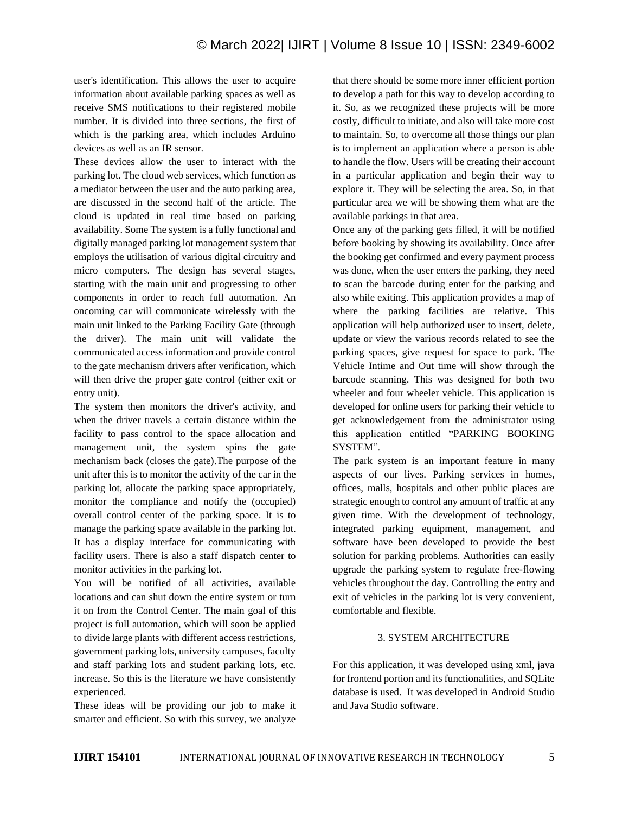user's identification. This allows the user to acquire information about available parking spaces as well as receive SMS notifications to their registered mobile number. It is divided into three sections, the first of which is the parking area, which includes Arduino devices as well as an IR sensor.

These devices allow the user to interact with the parking lot. The cloud web services, which function as a mediator between the user and the auto parking area, are discussed in the second half of the article. The cloud is updated in real time based on parking availability. Some The system is a fully functional and digitally managed parking lot management system that employs the utilisation of various digital circuitry and micro computers. The design has several stages, starting with the main unit and progressing to other components in order to reach full automation. An oncoming car will communicate wirelessly with the main unit linked to the Parking Facility Gate (through the driver). The main unit will validate the communicated access information and provide control to the gate mechanism drivers after verification, which will then drive the proper gate control (either exit or entry unit).

The system then monitors the driver's activity, and when the driver travels a certain distance within the facility to pass control to the space allocation and management unit, the system spins the gate mechanism back (closes the gate).The purpose of the unit after this is to monitor the activity of the car in the parking lot, allocate the parking space appropriately, monitor the compliance and notify the (occupied) overall control center of the parking space. It is to manage the parking space available in the parking lot. It has a display interface for communicating with facility users. There is also a staff dispatch center to monitor activities in the parking lot.

You will be notified of all activities, available locations and can shut down the entire system or turn it on from the Control Center. The main goal of this project is full automation, which will soon be applied to divide large plants with different access restrictions, government parking lots, university campuses, faculty and staff parking lots and student parking lots, etc. increase. So this is the literature we have consistently experienced.

These ideas will be providing our job to make it smarter and efficient. So with this survey, we analyze

that there should be some more inner efficient portion to develop a path for this way to develop according to it. So, as we recognized these projects will be more costly, difficult to initiate, and also will take more cost to maintain. So, to overcome all those things our plan is to implement an application where a person is able to handle the flow. Users will be creating their account in a particular application and begin their way to explore it. They will be selecting the area. So, in that particular area we will be showing them what are the available parkings in that area.

Once any of the parking gets filled, it will be notified before booking by showing its availability. Once after the booking get confirmed and every payment process was done, when the user enters the parking, they need to scan the barcode during enter for the parking and also while exiting. This application provides a map of where the parking facilities are relative. This application will help authorized user to insert, delete, update or view the various records related to see the parking spaces, give request for space to park. The Vehicle Intime and Out time will show through the barcode scanning. This was designed for both two wheeler and four wheeler vehicle. This application is developed for online users for parking their vehicle to get acknowledgement from the administrator using this application entitled "PARKING BOOKING SYSTEM".

The park system is an important feature in many aspects of our lives. Parking services in homes, offices, malls, hospitals and other public places are strategic enough to control any amount of traffic at any given time. With the development of technology, integrated parking equipment, management, and software have been developed to provide the best solution for parking problems. Authorities can easily upgrade the parking system to regulate free-flowing vehicles throughout the day. Controlling the entry and exit of vehicles in the parking lot is very convenient, comfortable and flexible.

## 3. SYSTEM ARCHITECTURE

For this application, it was developed using xml, java for frontend portion and its functionalities, and SQLite database is used. It was developed in Android Studio and Java Studio software.